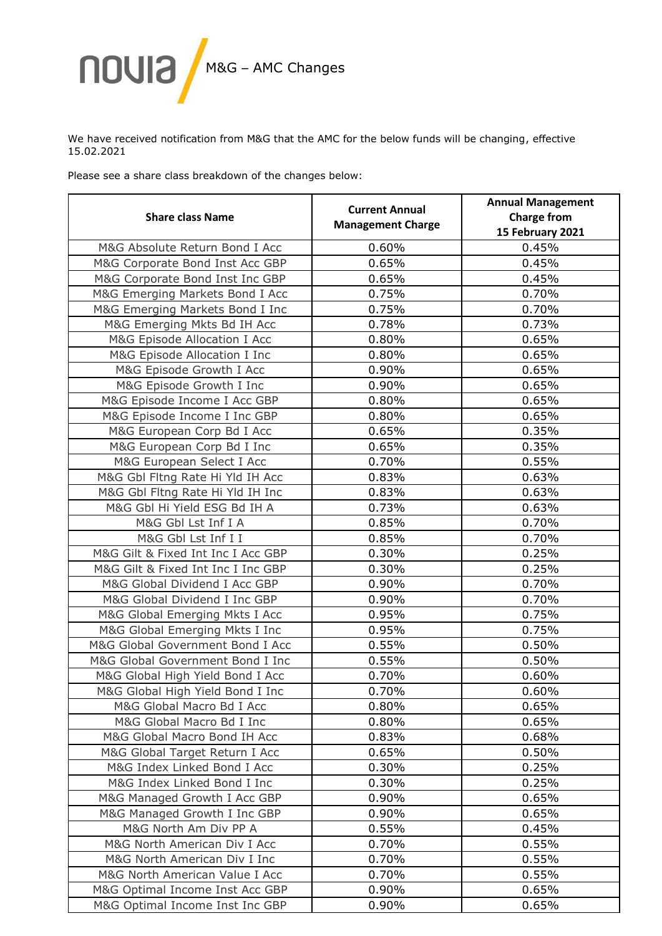

We have received notification from M&G that the AMC for the below funds will be changing, effective 15.02.2021

Please see a share class breakdown of the changes below:

| <b>Share class Name</b>            | <b>Current Annual</b><br><b>Management Charge</b> | <b>Annual Management</b><br><b>Charge from</b><br>15 February 2021 |
|------------------------------------|---------------------------------------------------|--------------------------------------------------------------------|
| M&G Absolute Return Bond I Acc     | 0.60%                                             | 0.45%                                                              |
| M&G Corporate Bond Inst Acc GBP    | 0.65%                                             | 0.45%                                                              |
| M&G Corporate Bond Inst Inc GBP    | 0.65%                                             | 0.45%                                                              |
| M&G Emerging Markets Bond I Acc    | 0.75%                                             | 0.70%                                                              |
| M&G Emerging Markets Bond I Inc    | 0.75%                                             | 0.70%                                                              |
| M&G Emerging Mkts Bd IH Acc        | 0.78%                                             | 0.73%                                                              |
| M&G Episode Allocation I Acc       | 0.80%                                             | 0.65%                                                              |
| M&G Episode Allocation I Inc       | 0.80%                                             | 0.65%                                                              |
| M&G Episode Growth I Acc           | 0.90%                                             | 0.65%                                                              |
| M&G Episode Growth I Inc           | 0.90%                                             | 0.65%                                                              |
| M&G Episode Income I Acc GBP       | 0.80%                                             | 0.65%                                                              |
| M&G Episode Income I Inc GBP       | 0.80%                                             | 0.65%                                                              |
| M&G European Corp Bd I Acc         | 0.65%                                             | 0.35%                                                              |
| M&G European Corp Bd I Inc         | 0.65%                                             | 0.35%                                                              |
| M&G European Select I Acc          | 0.70%                                             | 0.55%                                                              |
| M&G Gbl Fltng Rate Hi Yld IH Acc   | 0.83%                                             | 0.63%                                                              |
| M&G Gbl Fltng Rate Hi Yld IH Inc   | 0.83%                                             | 0.63%                                                              |
| M&G Gbl Hi Yield ESG Bd IH A       | 0.73%                                             | 0.63%                                                              |
| M&G Gbl Lst Inf I A                | 0.85%                                             | 0.70%                                                              |
| M&G Gbl Lst Inf I I                | 0.85%                                             | 0.70%                                                              |
| M&G Gilt & Fixed Int Inc I Acc GBP | 0.30%                                             | 0.25%                                                              |
| M&G Gilt & Fixed Int Inc I Inc GBP | 0.30%                                             | 0.25%                                                              |
| M&G Global Dividend I Acc GBP      | 0.90%                                             | 0.70%                                                              |
| M&G Global Dividend I Inc GBP      | 0.90%                                             | 0.70%                                                              |
| M&G Global Emerging Mkts I Acc     | 0.95%                                             | 0.75%                                                              |
| M&G Global Emerging Mkts I Inc     | 0.95%                                             | 0.75%                                                              |
| M&G Global Government Bond I Acc   | 0.55%                                             | 0.50%                                                              |
| M&G Global Government Bond I Inc   | 0.55%                                             | 0.50%                                                              |
| M&G Global High Yield Bond I Acc   | 0.70%                                             | 0.60%                                                              |
| M&G Global High Yield Bond I Inc   | 0.70%                                             | 0.60%                                                              |
| M&G Global Macro Bd I Acc          | 0.80%                                             | 0.65%                                                              |
| M&G Global Macro Bd I Inc          | 0.80%                                             | 0.65%                                                              |
| M&G Global Macro Bond IH Acc       | 0.83%                                             | 0.68%                                                              |
| M&G Global Target Return I Acc     | 0.65%                                             | 0.50%                                                              |
| M&G Index Linked Bond I Acc        | 0.30%                                             | 0.25%                                                              |
| M&G Index Linked Bond I Inc        | 0.30%                                             | 0.25%                                                              |
| M&G Managed Growth I Acc GBP       | 0.90%                                             | 0.65%                                                              |
| M&G Managed Growth I Inc GBP       | 0.90%                                             | 0.65%                                                              |
| M&G North Am Div PP A              | 0.55%                                             | 0.45%                                                              |
| M&G North American Div I Acc       | 0.70%                                             | 0.55%                                                              |
| M&G North American Div I Inc       | 0.70%                                             | 0.55%                                                              |
| M&G North American Value I Acc     | 0.70%                                             | 0.55%                                                              |
| M&G Optimal Income Inst Acc GBP    | 0.90%                                             | 0.65%                                                              |
| M&G Optimal Income Inst Inc GBP    | 0.90%                                             | 0.65%                                                              |